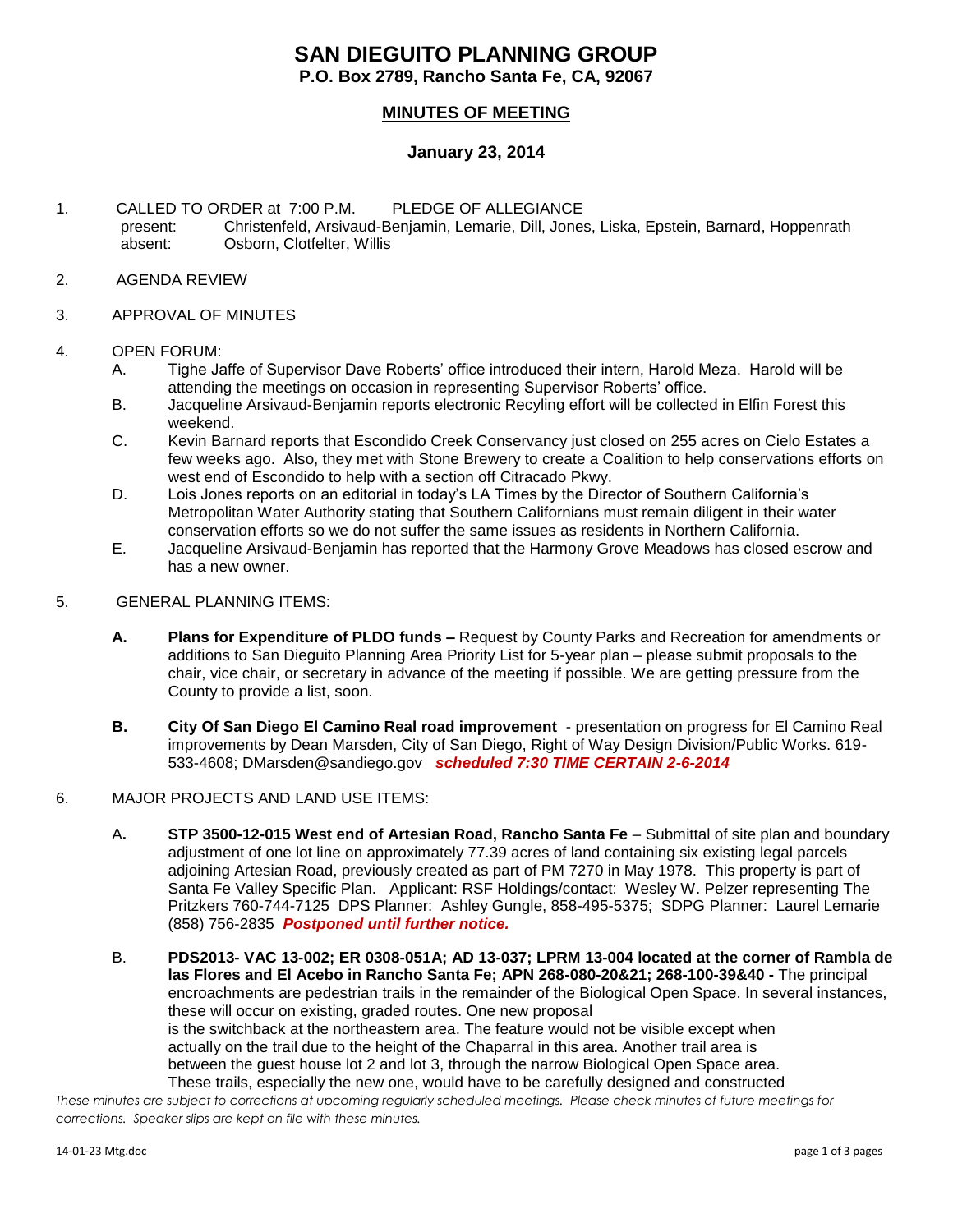# **SAN DIEGUITO PLANNING GROUP**

**P.O. Box 2789, Rancho Santa Fe, CA, 92067**

# **MINUTES OF MEETING**

### **January 23, 2014**

- 1. CALLED TO ORDER at 7:00 P.M. PLEDGE OF ALLEGIANCE present: Christenfeld, Arsivaud-Benjamin, Lemarie, Dill, Jones, Liska, Epstein, Barnard, Hoppenrath absent: Osborn, Clotfelter, Willis
- 2. AGENDA REVIEW
- 3. APPROVAL OF MINUTES

#### 4. OPEN FORUM:

- A. Tighe Jaffe of Supervisor Dave Roberts' office introduced their intern, Harold Meza. Harold will be attending the meetings on occasion in representing Supervisor Roberts' office.
- B. Jacqueline Arsivaud-Benjamin reports electronic Recyling effort will be collected in Elfin Forest this weekend.
- C. Kevin Barnard reports that Escondido Creek Conservancy just closed on 255 acres on Cielo Estates a few weeks ago. Also, they met with Stone Brewery to create a Coalition to help conservations efforts on west end of Escondido to help with a section off Citracado Pkwy.
- D. Lois Jones reports on an editorial in today's LA Times by the Director of Southern California's Metropolitan Water Authority stating that Southern Californians must remain diligent in their water conservation efforts so we do not suffer the same issues as residents in Northern California.
- E. Jacqueline Arsivaud-Benjamin has reported that the Harmony Grove Meadows has closed escrow and has a new owner.
- 5. GENERAL PLANNING ITEMS:
	- **A. Plans for Expenditure of PLDO funds –** Request by County Parks and Recreation for amendments or additions to San Dieguito Planning Area Priority List for 5-year plan – please submit proposals to the chair, vice chair, or secretary in advance of the meeting if possible. We are getting pressure from the County to provide a list, soon.
	- **B. City Of San Diego El Camino Real road improvement**  presentation on progress for El Camino Real improvements by Dean Marsden, City of San Diego, Right of Way Design Division/Public Works. 619- 533-4608; [DMarsden@sandiego.gov](mailto:DMarsden@sandiego.gov) *scheduled 7:30 TIME CERTAIN 2-6-2014*
- 6. MAJOR PROJECTS AND LAND USE ITEMS:
	- A**. STP 3500-12-015 West end of Artesian Road, Rancho Santa Fe** Submittal of site plan and boundary adjustment of one lot line on approximately 77.39 acres of land containing six existing legal parcels adjoining Artesian Road, previously created as part of PM 7270 in May 1978. This property is part of Santa Fe Valley Specific Plan.Applicant: RSF Holdings/contact: Wesley W. Pelzer representing The Pritzkers 760-744-7125 DPS Planner: Ashley Gungle, 858-495-5375; SDPG Planner: Laurel Lemarie (858) 756-2835 *Postponed until further notice.*
	- B. **PDS2013- VAC 13-002; ER 0308-051A; AD 13-037; LPRM 13-004 located at the corner of Rambla de las Flores and El Acebo in Rancho Santa Fe; APN 268-080-20&21; 268-100-39&40 -** The principal encroachments are pedestrian trails in the remainder of the Biological Open Space. In several instances, these will occur on existing, graded routes. One new proposal is the switchback at the northeastern area. The feature would not be visible except when actually on the trail due to the height of the Chaparral in this area. Another trail area is between the guest house lot 2 and lot 3, through the narrow Biological Open Space area. These trails, especially the new one, would have to be carefully designed and constructed

*These minutes are subject to corrections at upcoming regularly scheduled meetings. Please check minutes of future meetings for corrections. Speaker slips are kept on file with these minutes.*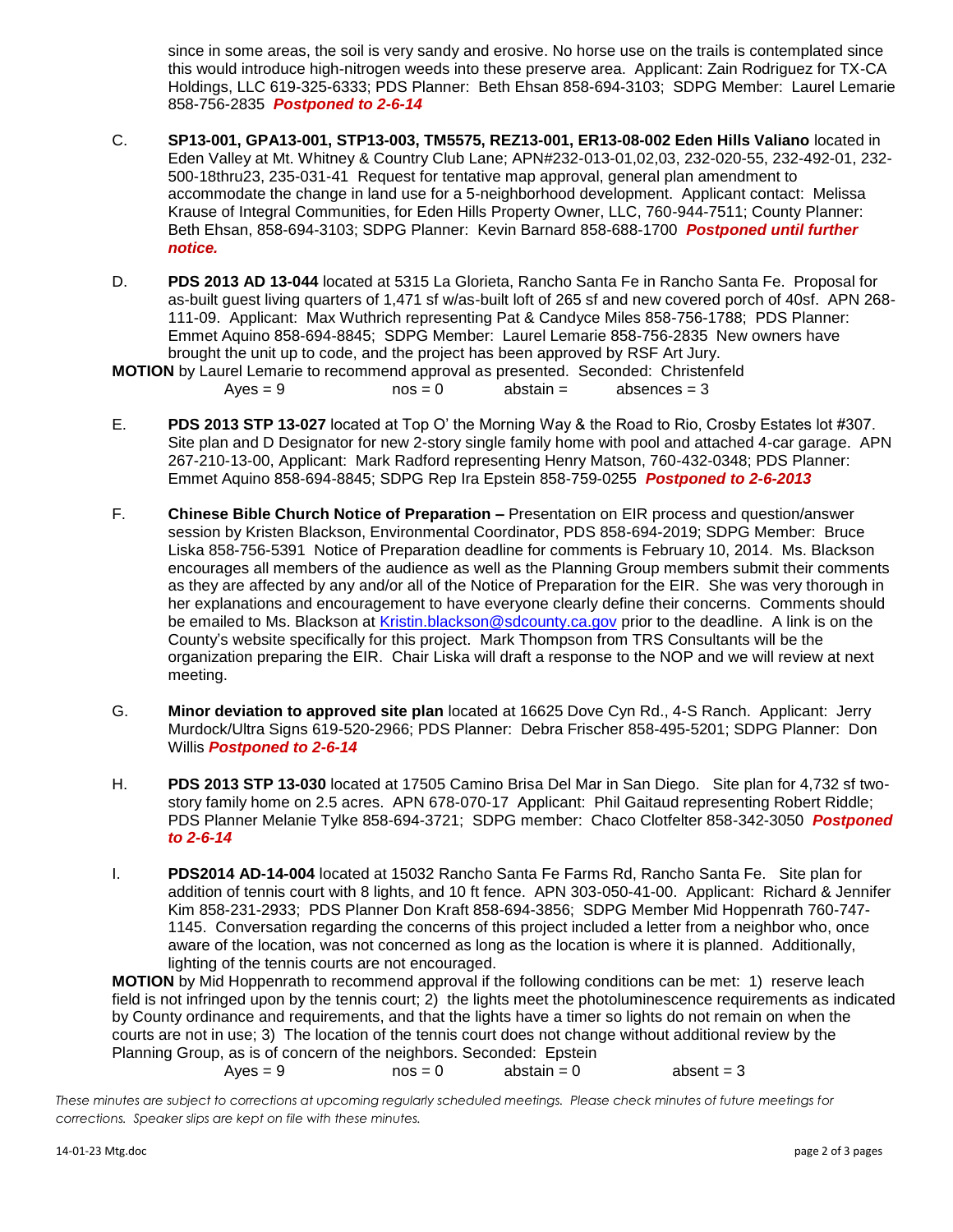since in some areas, the soil is very sandy and erosive. No horse use on the trails is contemplated since this would introduce high-nitrogen weeds into these preserve area. Applicant: Zain Rodriguez for TX-CA Holdings, LLC 619-325-6333; PDS Planner: Beth Ehsan 858-694-3103; SDPG Member: Laurel Lemarie 858-756-2835 *Postponed to 2-6-14*

- C. **SP13-001, GPA13-001, STP13-003, TM5575, REZ13-001, ER13-08-002 Eden Hills Valiano** located in Eden Valley at Mt. Whitney & Country Club Lane; APN#232-013-01,02,03, 232-020-55, 232-492-01, 232- 500-18thru23, 235-031-41 Request for tentative map approval, general plan amendment to accommodate the change in land use for a 5-neighborhood development. Applicant contact: Melissa Krause of Integral Communities, for Eden Hills Property Owner, LLC, 760-944-7511; County Planner: Beth Ehsan, 858-694-3103; SDPG Planner: Kevin Barnard 858-688-1700 *Postponed until further notice.*
- D. **PDS 2013 AD 13-044** located at 5315 La Glorieta, Rancho Santa Fe in Rancho Santa Fe. Proposal for as-built guest living quarters of 1,471 sf w/as-built loft of 265 sf and new covered porch of 40sf. APN 268- 111-09. Applicant: Max Wuthrich representing Pat & Candyce Miles 858-756-1788; PDS Planner: Emmet Aquino 858-694-8845; SDPG Member: Laurel Lemarie 858-756-2835 New owners have brought the unit up to code, and the project has been approved by RSF Art Jury.

**MOTION** by Laurel Lemarie to recommend approval as presented. Seconded: Christenfeld

- $Aves = 9$   $nos = 0$   $abstain = absences = 3$
- E. **PDS 2013 STP 13-027** located at Top O' the Morning Way & the Road to Rio, Crosby Estates lot #307. Site plan and D Designator for new 2-story single family home with pool and attached 4-car garage. APN 267-210-13-00, Applicant: Mark Radford representing Henry Matson, 760-432-0348; PDS Planner: Emmet Aquino 858-694-8845; SDPG Rep Ira Epstein 858-759-0255 *Postponed to 2-6-2013*
- F. **Chinese Bible Church Notice of Preparation –** Presentation on EIR process and question/answer session by Kristen Blackson, Environmental Coordinator, PDS 858-694-2019; SDPG Member: Bruce Liska 858-756-5391 Notice of Preparation deadline for comments is February 10, 2014. Ms. Blackson encourages all members of the audience as well as the Planning Group members submit their comments as they are affected by any and/or all of the Notice of Preparation for the EIR. She was very thorough in her explanations and encouragement to have everyone clearly define their concerns. Comments should be emailed to Ms. Blackson at [Kristin.blackson@sdcounty.ca.gov](mailto:Kristin.blackson@sdcounty.ca.gov) prior to the deadline. A link is on the County's website specifically for this project. Mark Thompson from TRS Consultants will be the organization preparing the EIR. Chair Liska will draft a response to the NOP and we will review at next meeting.
- G. **Minor deviation to approved site plan** located at 16625 Dove Cyn Rd., 4-S Ranch. Applicant: Jerry Murdock/Ultra Signs 619-520-2966; PDS Planner: Debra Frischer 858-495-5201; SDPG Planner: Don Willis *Postponed to 2-6-14*
- H. **PDS 2013 STP 13-030** located at 17505 Camino Brisa Del Mar in San Diego. Site plan for 4,732 sf twostory family home on 2.5 acres. APN 678-070-17 Applicant: Phil Gaitaud representing Robert Riddle; PDS Planner Melanie Tylke 858-694-3721; SDPG member: Chaco Clotfelter 858-342-3050 *Postponed to 2-6-14*
- I. **PDS2014 AD-14-004** located at 15032 Rancho Santa Fe Farms Rd, Rancho Santa Fe. Site plan for addition of tennis court with 8 lights, and 10 ft fence. APN 303-050-41-00. Applicant: Richard & Jennifer Kim 858-231-2933; PDS Planner Don Kraft 858-694-3856; SDPG Member Mid Hoppenrath 760-747- 1145. Conversation regarding the concerns of this project included a letter from a neighbor who, once aware of the location, was not concerned as long as the location is where it is planned. Additionally, lighting of the tennis courts are not encouraged.

**MOTION** by Mid Hoppenrath to recommend approval if the following conditions can be met: 1) reserve leach field is not infringed upon by the tennis court; 2) the lights meet the photoluminescence requirements as indicated by County ordinance and requirements, and that the lights have a timer so lights do not remain on when the courts are not in use; 3) The location of the tennis court does not change without additional review by the Planning Group, as is of concern of the neighbors. Seconded: Epstein

 $Aves = 9$   $nos = 0$   $abstain = 0$   $absent = 3$ 

*These minutes are subject to corrections at upcoming regularly scheduled meetings. Please check minutes of future meetings for corrections. Speaker slips are kept on file with these minutes.*